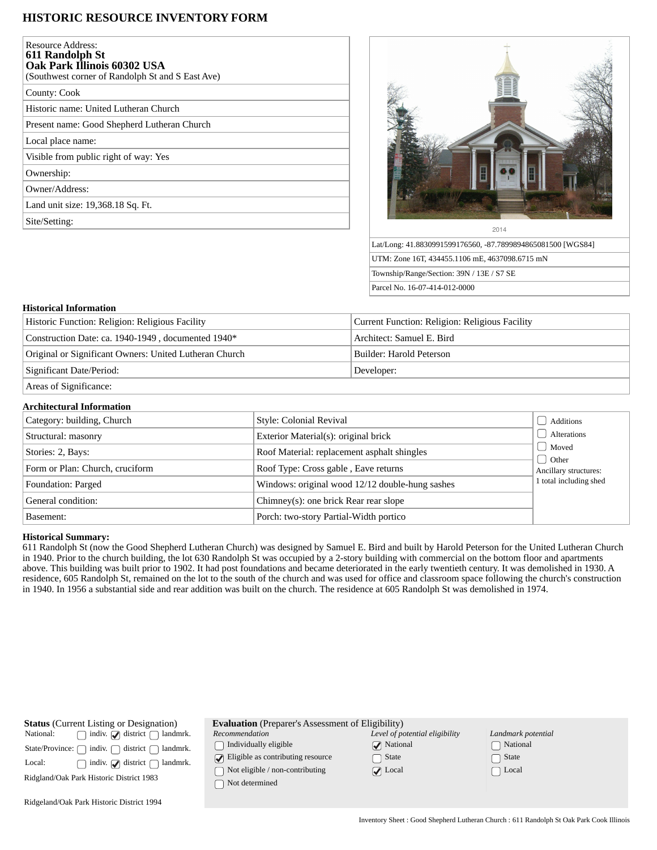# **HISTORIC RESOURCE INVENTORY FORM**

| Resource Address:<br>611 Randolph St<br>Oak Park Illinois 60302 USA<br>(Southwest corner of Randolph St and S East Ave) |
|-------------------------------------------------------------------------------------------------------------------------|
| County: Cook                                                                                                            |
| Historic name: United Lutheran Church                                                                                   |
| Present name: Good Shepherd Lutheran Church                                                                             |
| Local place name:                                                                                                       |
| Visible from public right of way: Yes                                                                                   |
| Ownership:                                                                                                              |
| Owner/Address:                                                                                                          |
| Land unit size: 19,368.18 Sq. Ft.                                                                                       |
| Site/Setting:                                                                                                           |
|                                                                                                                         |



Lat/Long: 41.8830991599176560, -87.7899894865081500 [WGS84] UTM: Zone 16T, 434455.1106 mE, 4637098.6715 mN Township/Range/Section: 39N / 13E / S7 SE Parcel No. 16-07-414-012-0000

### **Historical Information**

| Historic Function: Religion: Religious Facility        | Current Function: Religion: Religious Facility |  |
|--------------------------------------------------------|------------------------------------------------|--|
| Construction Date: ca. 1940-1949, documented 1940*     | Architect: Samuel E. Bird                      |  |
| Original or Significant Owners: United Lutheran Church | Builder: Harold Peterson                       |  |
| Significant Date/Period:                               | Developer:                                     |  |
| Areas of Significance:                                 |                                                |  |

## **Architectural Information**

| Category: building, Church      | Style: Colonial Revival                         | Additions              |
|---------------------------------|-------------------------------------------------|------------------------|
| Structural: masonry             | Exterior Material(s): original brick            | Alterations            |
| Stories: 2, Bays:               | Roof Material: replacement asphalt shingles     | Moved<br>Other         |
| Form or Plan: Church, cruciform | Roof Type: Cross gable, Eave returns            | Ancillary structures:  |
| Foundation: Parged              | Windows: original wood 12/12 double-hung sashes | 1 total including shed |
| General condition:              | Chimney(s): one brick Rear rear slope           |                        |
| Basement:                       | Porch: two-story Partial-Width portico          |                        |

### **Historical Summary:**

611 Randolph St (now the Good Shepherd Lutheran Church) was designed by Samuel E. Bird and built by Harold Peterson for the United Lutheran Church in 1940. Prior to the church building, the lot 630 Randolph St was occupied by a 2-story building with commercial on the bottom floor and apartments above. This building was built prior to 1902. It had post foundations and became deteriorated in the early twentieth century. It was demolished in 1930. A residence, 605 Randolph St, remained on the lot to the south of the church and was used for office and classroom space following the church's construction in 1940. In 1956 a substantial side and rear addition was built on the church. The residence at 605 Randolph St was demolished in 1974.

| <b>Status</b> (Current Listing or Designation)<br>$\Box$ indiv. $\Box$ district $\Box$ landmrk.<br>National:<br>district (<br>State/Province: $\bigcap$ indiv. $\bigcap$<br>landmrk.<br>indiv. $\bigcirc$ district $\bigcap$<br>landmrk.<br>Local:<br>Ridgland/Oak Park Historic District 1983 | <b>Evaluation</b> (Preparer's Assessment of Eligibility)<br>Recommendation<br>Individually eligible<br>$\Box$ Eligible as contributing resource<br>Not eligible / non-contributing<br>Not determined | Level of potential eligibility<br>$\sqrt{\phantom{a}}$ National<br>State<br>$\triangledown$ Local | Landmark potential<br>National<br>□ State<br>∩ Local |
|------------------------------------------------------------------------------------------------------------------------------------------------------------------------------------------------------------------------------------------------------------------------------------------------|------------------------------------------------------------------------------------------------------------------------------------------------------------------------------------------------------|---------------------------------------------------------------------------------------------------|------------------------------------------------------|
| Ridgeland/Oak Park Historic District 1994                                                                                                                                                                                                                                                      |                                                                                                                                                                                                      |                                                                                                   |                                                      |